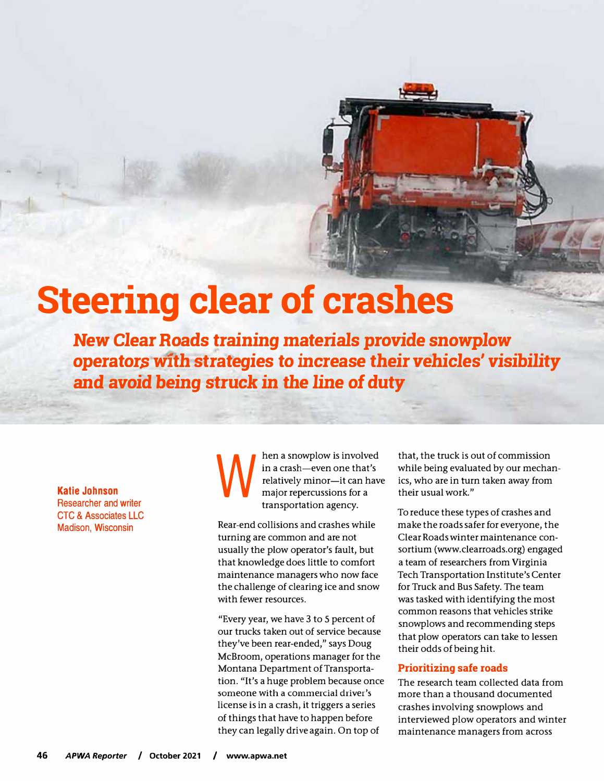# **Steering clear of crashes**

**New** *Clear* **Roads training materials** *provide* **snowplow operator\$ with strategies to increase** *their* **vehicles'** *visibility*  **and** *avoid* **being struck in the** *line* **of duty** 

**Katie Johnson**  Researcher and writer CTC & Associates LLC Madison, Wisconsin

w hen a snowplow is involved in a crash-even one that's relatively minor-it can have major repercussions for a transportation agency.

Rear-end collisions and crashes while turning are common and are not usually the plow operator's fault, but that knowledge does little to comfort maintenance managers who now face the challenge of clearing ice and snow with fewer resources.

"Every year, we have 3 to 5 percent of our trucks taken out of service because they've been rear-ended," says Doug McBroom, operations manager for the Montana Department of Transportation. "It's a huge problem because once someone with a commercial driver's license is in a crash, it triggers a series of things that have to happen before they can legally drive again. On top of

that, the truck is out of commission while being evaluated by our mechanics, who are in turn taken away from their usual work."

To reduce these types of crashes and make the roads safer for everyone, the Clear Roads winter maintenance consortium [\(www.clearroads.org\)](http://www.clearroads.org/) engaged a team of researchers from Virginia Tech Transportation Institute's Center for Truck and Bus Safety. The team was tasked with identifying the most common reasons that vehicles strike snowplows and recommending steps that plow operators can take to lessen their odds of being hit.

#### **Prioritizing safe roads**

The research team collected data from more than a thousand documented crashes involving snowplows and interviewed plow operators and winter maintenance managers from across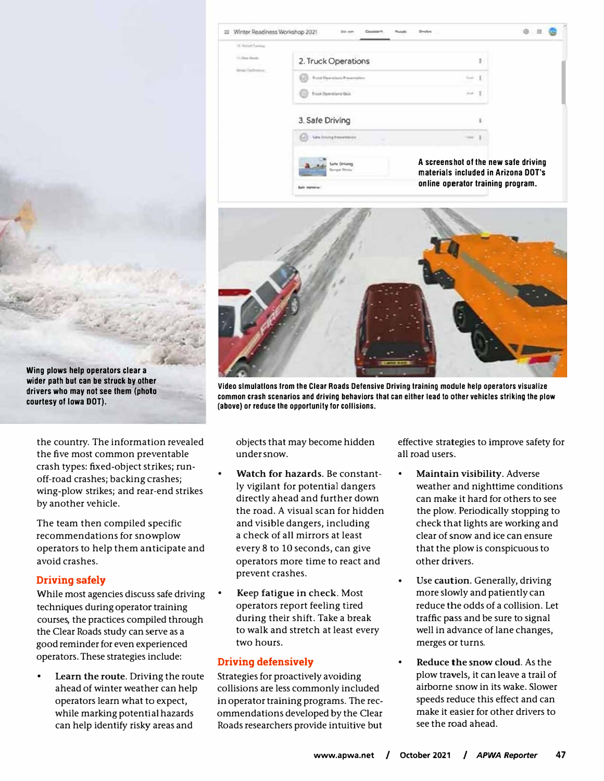| Winter Readmess Workshop 2021  |                                                          | ŵ<br>田                                                                      |  |
|--------------------------------|----------------------------------------------------------|-----------------------------------------------------------------------------|--|
| IS Pellul Furma                |                                                          |                                                                             |  |
| 15 Oct Stock<br>Motor Defenses | 2. Truck Operations                                      |                                                                             |  |
|                                | <b><i><u>Escal Descriptions</u></i></b> Preservation     |                                                                             |  |
|                                | <b>Truck Operations Quiz</b>                             | mark                                                                        |  |
|                                | 3. Safe Driving                                          |                                                                             |  |
|                                | <b>Sale Driving Execution</b>                            |                                                                             |  |
|                                | <b><i>Links</i></b> Directions<br><b>Service Streets</b> | A screenshot of the new safe driving<br>materials included in Arizona DOT's |  |
|                                | <b><i>Color Administration</i></b>                       | online operator training program.                                           |  |



**Video slmulatlons from the Clear Roads Defensive Driving training module help operators visualize common crash scenarios and driving behaviors that can either lead to other vehicles striking the plow (above) or reduce the opportunity for collisions.** 

objects that may become hidden under snow.

- **Watch for hazards.** Be constantly vigilant for potential dangers directly ahead and further down the road. A visual scan for hidden and visible dangers, including a check of all mirrors at least every 8 to 10 seconds, can give operators more time to react and prevent crashes.
- Keep fatigue in check. Most operators report feeling tired during their shift. Take a break to walk and stretch at least every two hours.

### **Driving defensively**

Strategies for proactively avoiding collisions are less commonly included in operator training programs. The recommendations developed by the Clear Roads researchers provide intuitive but effective strategies to improve safety for all road users.

- **Maintain visibility.** Adverse weather and nighttime conditions can make it hard for others to see the plow. Periodically stopping to check that lights are working and clear of snow and ice can ensure that the plow is conspicuous to other drivers.
- Use caution. Generally, driving more slowly and patiently can reduce the odds of a collision. Let traffic pass and be sure to signal well in advance of lane changes, merges or turns.
- **Reduce the snow cloud.** As the plow travels, it can leave a trail of airborne snow in its wake. Slower speeds reduce this effect and can make it easier for other drivers to see the road ahead.

**Wing plows help operators clear a wider path but can be struck by other drivers who may not see them (photo courtesy of Iowa DOT).** 

the country. The information revealed the five most common preventable crash types: fixed-object strikes; runoff-road crashes; backing crashes; wing-plow strikes; and rear-end strikes by another vehicle.

The team then compiled specific recommendations for snowplow operators to help them anticipate and avoid crashes.

## **Driving safely**

While most agencies discuss safe driving techniques during operator training courses, the practices compiled through the Clear Roads study can serve as a good reminder for even experienced operators. These strategies include:

• **Learn the route.** Driving the route ahead of winter weather can help operators learn what to expect, while marking potential hazards can help identify risky areas and